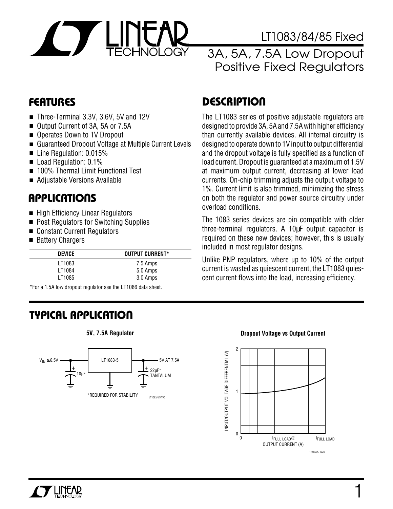

### LT1083/84/85 Fixed

### 3A, 5A, 7.5A Low Dropout Positive Fixed Regulators

- Three-Terminal 3.3V, 3.6V, 5V and 12V
- Output Current of 3A, 5A or 7.5A
- Operates Down to 1V Dropout
- Guaranteed Dropout Voltage at Multiple Current Levels
- Line Regulation: 0.015%
- Load Regulation: 0.1%
- 100% Thermal Limit Functional Test
- Adjustable Versions Available

#### **APPLICATIONS**  $\overline{\phantom{0}}$

- High Efficiency Linear Regulators
- Post Regulators for Switching Supplies
- Constant Current Regulators
- Battery Chargers

| <b>DEVICE</b> | <b>OUTPUT CURRENT*</b> |
|---------------|------------------------|
| LT1083        | 7.5 Amps               |
| LT1084        | 5.0 Amps               |
| LT1085        | 3.0 Amps               |

\*For a 1.5A low dropout regulator see the LT1086 data sheet.

# **TYPICAL APPLICATION U**



# **FEATURES DESCRIPTION U**

The LT1083 series of positive adjustable regulators are designed to provide 3A, 5A and 7.5A with higher efficiency than currently available devices. All internal circuitry is designed to operate down to 1V input to output differential and the dropout voltage is fully specified as a function of load current. Dropout is guaranteed at a maximum of 1.5V at maximum output current, decreasing at lower load currents. On-chip trimming adjusts the output voltage to 1%. Current limit is also trimmed, minimizing the stress on both the regulator and power source circuitry under overload conditions.

The 1083 series devices are pin compatible with older three-terminal regulators. A 10µF output capacitor is required on these new devices; however, this is usually included in most regulator designs.

Unlike PNP regulators, where up to 10% of the output current is wasted as quiescent current, the LT1083 quiescent current flows into the load, increasing efficiency.

#### **5V, 7.5A Regulator Dropout Voltage vs Output Current**

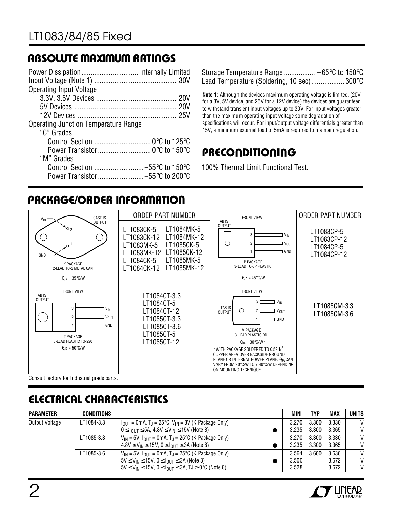## **ABSOLUTE MAXIMUM RATINGS**

| Power Dissipation Internally Limited        |  |
|---------------------------------------------|--|
|                                             |  |
| <b>Operating Input Voltage</b>              |  |
|                                             |  |
|                                             |  |
|                                             |  |
| <b>Operating Junction Temperature Range</b> |  |
| "C" Grades                                  |  |
|                                             |  |
|                                             |  |
| "M" Grades                                  |  |
| Control Section -55°C to 150°C              |  |
|                                             |  |

Storage Temperature Range ................. –65°C to 150°C Lead Temperature (Soldering, 10 sec).................. 300°C

**Note 1:** Although the devices maximum operating voltage is limited, (20V for a 3V, 5V device, and 25V for a 12V device) the devices are guaranteed to withstand transient input voltages up to 30V. For input voltages greater than the maximum operating input voltage some degradation of specifications will occur. For input/output voltage differentials greater than 15V, a minimum external load of 5mA is required to maintain regulation.

## **PRECONDITIONING U U U**

100% Thermal Limit Functional Test.

# **PACKAGE/ORDER INFORMATION**



# **ELECTRICAL CHARACTERISTICS**

| <b>PARAMETER</b> | CONDITIONS |                                                                                                                                                                                                                              | MIN                     | TYP            | MAX                     | <b>UNITS</b>                                 |
|------------------|------------|------------------------------------------------------------------------------------------------------------------------------------------------------------------------------------------------------------------------------|-------------------------|----------------|-------------------------|----------------------------------------------|
| Output Voltage   | LT1084-3.3 | $I_{OIII}$ = 0mA, T <sub>J</sub> = 25°C, V <sub>IN</sub> = 8V (K Package Only)<br>$0 \leq I_{\text{OUT}} \leq 5A, 4.8 \text{V} \leq V_{\text{IN}} \leq 15 \text{V}$ (Note 8)                                                 | 3.270<br>3.235          | 3.300<br>3.300 | 3.330<br>3.365          | $\mathsf{V}$<br>V                            |
|                  | LT1085-3.3 | $V_{IN}$ = 5V, $I_{OUT}$ = 0mA, T <sub>J</sub> = 25°C (K Package Only)<br>$4.8 \text{V} \leq \text{V}_{\text{IN}} \leq 15 \text{V}, 0 \leq \text{I}_{\text{OUT}} \leq 3 \text{A}$ (Note 8)                                   | 3.270<br>3.235          | 3.300<br>3.300 | 3.330<br>3.365          | $\mathsf{V}$<br>V                            |
|                  | LT1085-3.6 | $V_{IN}$ = 5V, $I_{OUT}$ = 0mA, T <sub>J</sub> = 25°C (K Package Only)<br>$5V \le V_{IN} \le 15V$ , $0 \le I_{OIII} \le 3A$ (Note 8)<br>$5V \leq V_{IN} \leq 15V$ , $0 \leq I_{OUT} \leq 3A$ , $TJ \geq 0^{\circ}C$ (Note 8) | 3.564<br>3.500<br>3.528 | 3.600          | 3.636<br>3.672<br>3.672 | $\mathsf{V}$<br>$\mathsf{V}$<br>$\mathsf{V}$ |

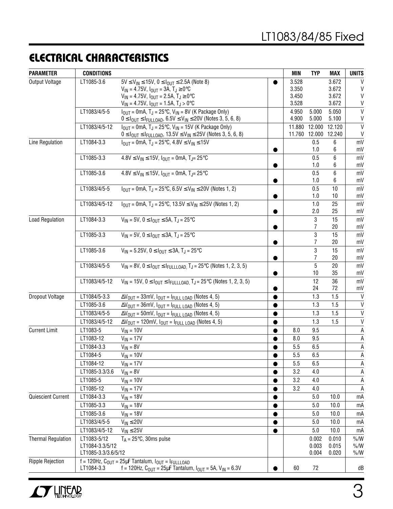### **ELECTRICAL CHARACTERISTICS**

| <b>PARAMETER</b>          | <b>CONDITIONS</b>   |                                                                                                                                 |           | <b>MIN</b> | <b>TYP</b>    | <b>MAX</b> | <b>UNITS</b> |
|---------------------------|---------------------|---------------------------------------------------------------------------------------------------------------------------------|-----------|------------|---------------|------------|--------------|
| <b>Output Voltage</b>     | LT1085-3.6          | $5V \le V_{IN} \le 15V$ , $0 \le I_{OUT} \le 2.5A$ (Note 8)                                                                     |           | 3.528      |               | 3.672      | V            |
|                           |                     | $V_{IN} = 4.75V$ , $I_{OUT} = 3A$ , $T_J \ge 0$ °C                                                                              |           | 3.350      |               | 3.672      | V            |
|                           |                     | $V_{IN} = 4.75V$ , $I_{OUT} = 2.5A$ , $T_J \ge 0$ °C                                                                            |           | 3.450      |               | 3.672      | V            |
|                           |                     | $V_{IN}$ = 4.75V, $I_{OUT}$ = 1.5A, $T_J > 0$ °C                                                                                |           | 3.528      |               | 3.672      | V            |
|                           | LT1083/4/5-5        | $I_{OUT}$ = 0mA, T <sub>J</sub> = 25°C, V <sub>IN</sub> = 8V (K Package Only)                                                   |           | 4.950      | 5.000         | 5.050      | $\mathsf{V}$ |
|                           |                     | $0 \leq I_{\text{OUT}} \leq I_{\text{FULLOAD}}$ , 6.5V $\leq$ V <sub>IN</sub> $\leq$ 20V (Notes 3, 5, 6, 8)                     |           | 4.900      | 5.000         | 5.100      | V            |
|                           | LT1083/4/5-12       | $I_{OUT}$ = 0mA, T <sub>J</sub> = 25°C, V <sub>IN</sub> = 15V (K Package Only)                                                  |           | 11.880     | 12.000        | 12.120     | V            |
|                           |                     | $0 \leq I_{\text{OUT}} \leq I_{\text{FULLOAD}},\ 13.5 \text{V} \leq V_{\text{IN}} \leq 25 \text{V} \ (\text{Notes 3, 5, 6, 8})$ |           |            | 11.760 12.000 | 12.240     | V            |
| Line Regulation           | LT1084-3.3          | $I_{\text{OUT}} = 0$ mA, T <sub>J</sub> = 25 $\text{°C}$ , 4.8V $\leq$ V <sub>IN</sub> $\leq$ 15V                               |           |            | 0.5           | 6          | mV           |
|                           |                     |                                                                                                                                 |           |            | 1.0           | 6          | mV           |
|                           | LT1085-3.3          | $4.8V \le V_{IN} \le 15V$ , $I_{OUT} = 0mA$ , $T_{J} = 25°C$                                                                    |           |            | 0.5           | 6          | mV           |
|                           |                     |                                                                                                                                 |           |            | 1.0           | 6          | mV           |
|                           | LT1085-3.6          | $4.8V \le V_{IN} \le 15V$ , $I_{OUT} = 0mA$ , T <sub>J</sub> = 25 °C                                                            |           |            | 0.5<br>1.0    | 6          | mV<br>mV     |
|                           | LT1083/4/5-5        |                                                                                                                                 |           |            | 0.5           | 6<br>10    | mV           |
|                           |                     | $I_{OUT}$ = 0mA, T <sub>J</sub> = 25°C, 6.5V $\leq$ V <sub>IN</sub> $\leq$ 20V (Notes 1, 2)                                     |           |            | 1.0           | 10         | mV           |
|                           | LT1083/4/5-12       | $I_{OUT}$ = 0mA, T <sub>J</sub> = 25°C, 13.5V $\leq$ V <sub>IN</sub> $\leq$ 25V (Notes 1, 2)                                    |           |            | 1.0           | 25         | mV           |
|                           |                     |                                                                                                                                 |           |            | 2.0           | 25         | mV           |
| <b>Load Regulation</b>    | LT1084-3.3          | $V_{IN} = 5V$ , $0 \leq I_{OUT} \leq 5A$ , $T_J = 25^{\circ}C$                                                                  |           |            | 3             | 15         | mV           |
|                           |                     |                                                                                                                                 |           |            | 7             | 20         | mV           |
|                           | LT1085-3.3          | $V_{IN} = 5V$ , $0 \leq I_{OUIT} \leq 3A$ , $T_{JI} = 25^{\circ}C$                                                              |           |            | 3             | 15         | mV           |
|                           |                     |                                                                                                                                 |           |            |               | 20         | mV           |
|                           | LT1085-3.6          | $V_{IN} = 5.25V$ , $0 \leq I_{OUIT} \leq 3A$ , $T_{JI} = 25^{\circ}C$                                                           |           |            | 3             | 15         | mV           |
|                           |                     |                                                                                                                                 |           |            |               | 20         | mV           |
|                           | LT1083/4/5-5        | $V_{IN} = 8V$ , $0 \leq I_{OUT} \leq I_{FULLLOAD}$ , $T_J = 25^{\circ}C$ (Notes 1, 2, 3, 5)                                     |           |            | 5             | 20         | mV           |
|                           |                     |                                                                                                                                 |           |            | 10            | 35         | mV           |
|                           | LT1083/4/5-12       | $V_{IN} = 15V$ , $0 \leq I_{OUT} \leq I_{FULLLOAD}$ , $T_J = 25^{\circ}C$ (Notes 1, 2, 3, 5)                                    |           |            | 12            | 36         | mV           |
|                           |                     |                                                                                                                                 |           |            | 24            | 72         | mV           |
| Dropout Voltage           | LT1084/5-3.3        | $\Delta V_{\text{OUT}} = 33 \text{mV}$ , $I_{\text{OUT}} = I_{\text{FULL LOAD}}$ (Notes 4, 5)                                   |           |            | 1.3           | 1.5        | V            |
|                           | LT1085-3.6          | $\Delta V_{\text{OUT}} = 36$ mV, $I_{\text{OUT}} = I_{\text{FULL}\text{ LOAD}}$ (Notes 4, 5)                                    |           |            | 1.3           | 1.5        | $\mathsf{V}$ |
|                           | LT1083/4/5-5        | $\Delta V_{\text{OUT}} = 50$ mV, $I_{\text{OUT}} = I_{\text{FULL}\text{ LOAD}}$ (Notes 4, 5)                                    |           |            | 1.3           | 1.5        | V            |
|                           | LT1083/4/5-12       | $\Delta V_{\text{OUT}}$ = 120mV, $I_{\text{OUT}}$ = $I_{\text{FULL}\text{ LOAD}}$ (Notes 4, 5)                                  |           |            | 1.3           | 1.5        | V            |
| <b>Current Limit</b>      | LT1083-5            | $V_{IN} = 10V$                                                                                                                  |           | 8.0        | 9.5           |            | Α            |
|                           | LT1083-12           | $V_{IN}$ = 17V                                                                                                                  |           | 8.0        | 9.5           |            | Α            |
|                           | LT1084-3.3          | $V_{IN} = 8V$                                                                                                                   |           | 5.5        | 6.5           |            | A            |
|                           | LT1084-5            | $V_{IN} = 10V$                                                                                                                  |           | 5.5        | 6.5           |            | A            |
|                           | LT1084-12           | $V_{IN}$ = 17V                                                                                                                  |           | 5.5        | 6.5           |            | Α            |
|                           | LT1085-3.3/3.6      | $V_{IN} = 8V$                                                                                                                   |           | 3.2        | 4.0           |            | A            |
|                           | LT1085-5            | $V_{IN} = 10V$                                                                                                                  |           | 3.2        | 4.0           |            | Α            |
|                           | LT1085-12           | $V_{IN} = 17V$                                                                                                                  |           | 3.2        | 4.0           |            | Α            |
| Quiescient Current        | LT1084-3.3          | $V_{IN} = 18V$                                                                                                                  | $\bullet$ |            | 5.0           | 10.0       | mA           |
|                           | LT1085-3.3          | $V_{IN}$ = 18V                                                                                                                  |           |            | 5.0           | 10.0       | mA           |
|                           | LT1085-3.6          | $V_{IN} = 18V$                                                                                                                  |           |            | 5.0           | 10.0       | mA           |
|                           | LT1083/4/5-5        | $V_{IN} \leq 20V$                                                                                                               |           |            | 5.0           | 10.0       | mA           |
|                           | LT1083/4/5-12       | $V_{IN} \leq 25V$                                                                                                               |           |            | 5.0           | 10.0       | mA           |
| <b>Thermal Regulation</b> | LT1083-5/12         | $T_A = 25^{\circ}C$ , 30ms pulse                                                                                                |           |            | 0.002         | 0.010      | $\%$ /W      |
|                           | LT1084-3.3/5/12     |                                                                                                                                 |           |            | 0.003         | 0.015      | $\% / W$     |
|                           | LT1085-3.3/3.6/5/12 |                                                                                                                                 |           |            | 0.004         | 0.020      | $\%$ /W      |
| <b>Ripple Rejection</b>   |                     | $f = 120$ Hz, C <sub>OUT</sub> = 25µF Tantalum, $I_{OUT} = I_{FULLLOAD}$                                                        |           |            |               |            |              |
|                           | LT1084-3.3          | f = 120Hz, $C_{OUT}$ = 25µF Tantalum, $I_{OUT}$ = 5A, $V_{IN}$ = 6.3V                                                           |           | 60         | 72            |            | dB           |

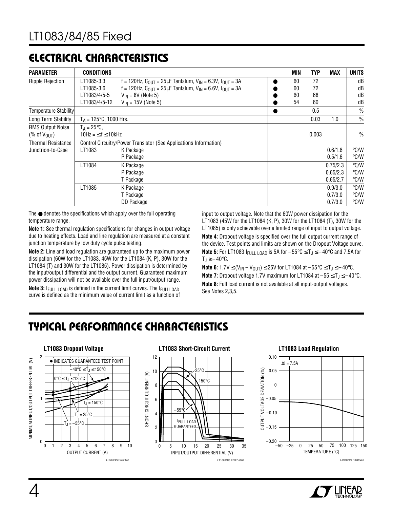### **ELECTRICAL CHARACTERISTICS**

| <b>PARAMETER</b>             | <b>CONDITIONS</b>                |                                                                                            |  | <b>MIN</b> | <b>TYP</b> | <b>MAX</b> | <b>UNITS</b>  |
|------------------------------|----------------------------------|--------------------------------------------------------------------------------------------|--|------------|------------|------------|---------------|
| <b>Ripple Rejection</b>      | LT1085-3.3                       | f = 120Hz, $C_{\text{OUT}}$ = 25µF Tantalum, $V_{\text{IN}}$ = 6.3V, $I_{\text{OUT}}$ = 3A |  | 60<br>72   |            |            | dB            |
|                              | LT1085-3.6                       | f = 120Hz, $C_{OIII}$ = 25µF Tantalum, $V_{IN}$ = 6.6V, $I_{OIII}$ = 3A                    |  | 60         | 72         |            | dB            |
|                              | LT1083/4/5-5                     | $V_{IN}$ = 8V (Note 5)                                                                     |  | 60         | 68         |            | dB            |
|                              | LT1083/4/5-12                    | $V_{IN}$ = 15V (Note 5)                                                                    |  | 54         | 60         |            | dB            |
| <b>Temperature Stability</b> |                                  |                                                                                            |  |            | 0.5        |            | $\frac{0}{0}$ |
| Long Term Stability          | $T_A = 125^{\circ}C$ , 1000 Hrs. |                                                                                            |  |            | 0.03       | 1.0        | $\frac{0}{0}$ |
| <b>RMS Output Noise</b>      | $T_A = 25^{\circ}C$              |                                                                                            |  |            |            |            |               |
| (% of $V_{\text{OUT}}$ )     | $10Hz = 5f \le 10kHz$            |                                                                                            |  |            | 0.003      |            | $\frac{0}{0}$ |
| <b>Thermal Resistance</b>    |                                  | Control Circuitry/Power Transistor (See Applications Information)                          |  |            |            |            |               |
| Junctrion-to-Case            | LT1083                           | K Package                                                                                  |  |            |            | 0.6/1.6    | °C/W          |
|                              |                                  | P Package                                                                                  |  |            |            | 0.5/1.6    | $\degree$ C/W |
|                              | LT1084                           | K Package                                                                                  |  |            |            | 0.75/2.3   | $\degree$ C/W |
|                              |                                  | P Package                                                                                  |  |            |            | 0.65/2.3   | °C/W          |
|                              |                                  | T Package                                                                                  |  |            |            | 0.65/2.7   | °C/W          |
|                              | LT1085                           | K Package                                                                                  |  |            |            | 0.9/3.0    | $\degree$ C/W |
|                              |                                  | T Package                                                                                  |  |            |            | 0.7/3.0    | °C/W          |
|                              |                                  | DD Package                                                                                 |  |            |            | 0.7/3.0    | °C/W          |

The ● denotes the specifications which apply over the full operating temperature range.

**Note 1:** See thermal regulation specifications for changes in output voltage due to heating effects. Load and line regulation are measured at a constant junction temperature by low duty cycle pulse testing.

**Note 2:** Line and load regulation are guaranteed up to the maximum power dissipation (60W for the LT1083, 45W for the LT1084 (K, P), 30W for the LT1084 (T) and 30W for the LT1085). Power dissipation is determined by the input/output differential and the output current. Guaranteed maximum power dissipation will not be available over the full input/output range.

**Note 3:**  $I_{\text{FIII}}$  LOAD is defined in the current limit curves. The  $I_{\text{FIII}}$  LOAD curve is defined as the minimum value of current limit as a function of input to output voltage. Note that the 60W power dissipation for the LT1083 (45W for the LT1084 (K, P), 30W for the LT1084 (T), 30W for the LT1085) is only achievable over a limited range of input to output voltage. **Note 4:** Dropout voltage is specified over the full output current range of the device. Test points and limits are shown on the Dropout Voltage curve. **Note 5:** For LT1083  $I_{\text{FULL LOAD}}$  is 5A for  $-55^{\circ}$ C  $\leq T_J \leq -40^{\circ}$ C and 7.5A for  $T_J \geq -40^{\circ}C$ .

**Note 6:** 1.7V ≤ (V<sub>IN</sub> – V<sub>OUT</sub>) ≤ 25V for LT1084 at –55°C ≤ T<sub>J</sub> ≤ –40°C. **Note 7:** Dropout voltage 1.7V maximum for LT1084 at  $-55 \le T_J \le -40^{\circ}$ C. **Note 8:** Full load current is not available at all input-output voltages. See Notes 2,3,5.

# **TYPICAL PERFORMANCE CHARACTERISTICS W U**



#### **LT1083 Dropout Voltage LT1083 Short-Circuit Current LT1083 Load Regulation**





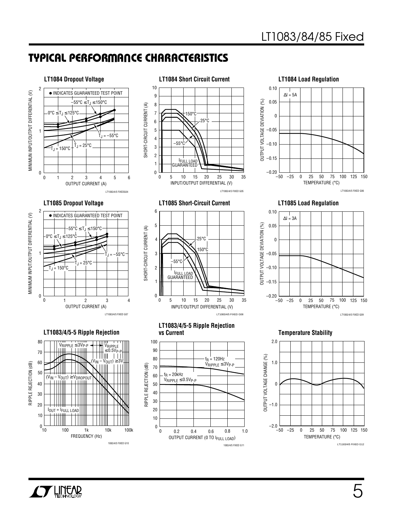## **TYPICAL PERFORMANCE CHARACTERISTICS W U**





LT1083/4/5 FIXED G08

 $f<sub>R</sub>$  = 120Hz VRIPPLE ≤ 3VP-P

0.4 0.8 1.0

1083/4/5 FIXED G11



#### **LT1085 Load Regulation**



#### **Temperature Stability**



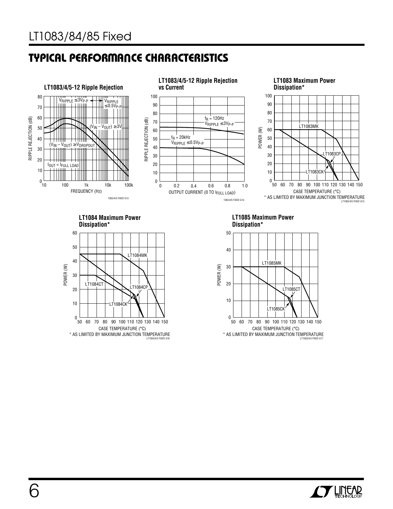# **TYPICAL PERFORMANCE CHARACTERISTICS W U**



LT1083/4/5 FIXED G16 \* AS LIMITED BY MAXIMUM JUNCTION TEMPERATURE



LT1083/4/5 FIXED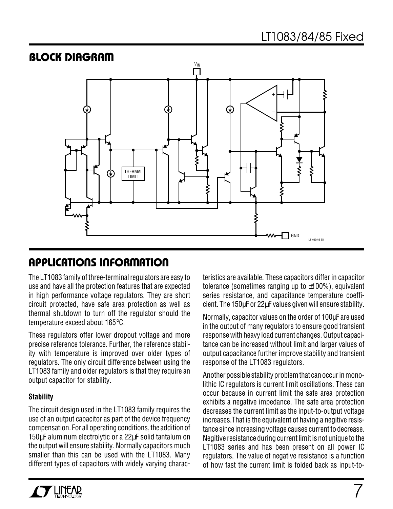

### **APPLICATIONS INFORMATION U W U U**

The LT1083 family of three-terminal regulators are easy to use and have all the protection features that are expected in high performance voltage regulators. They are short circuit protected, have safe area protection as well as thermal shutdown to turn off the regulator should the temperature exceed about 165°C.

These regulators offer lower dropout voltage and more precise reference tolerance. Further, the reference stability with temperature is improved over older types of regulators. The only circuit difference between using the LT1083 family and older regulators is that they require an output capacitor for stability.

#### **Stability**

The circuit design used in the LT1083 family requires the use of an output capacitor as part of the device frequency compensation. For all operating conditions, the addition of 150µF aluminum electrolytic or a 22µF solid tantalum on the output will ensure stability. Normally capacitors much smaller than this can be used with the LT1083. Many different types of capacitors with widely varying characteristics are available. These capacitors differ in capacitor tolerance (sometimes ranging up to  $\pm 100\%$ ), equivalent series resistance, and capacitance temperature coefficient. The 150µF or 22µF values given will ensure stability.

Normally, capacitor values on the order of 100µF are used in the output of many regulators to ensure good transient response with heavy load current changes. Output capacitance can be increased without limit and larger values of output capacitance further improve stability and transient response of the LT1083 regulators.

Another possible stability problem that can occur in monolithic IC regulators is current limit oscillations. These can occur because in current limit the safe area protection exhibits a negative impedance. The safe area protection decreases the current limit as the input-to-output voltage increases.That is the equivalent of having a negitive resistance since increasing voltage causes current to decrease. Negitive resistance during current limit is not unique to the LT1083 series and has been present on all power IC regulators. The value of negative resistance is a function of how fast the current limit is folded back as input-to-

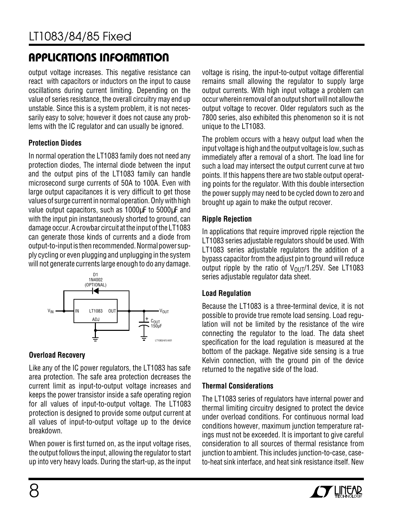# **APPLICATIONS INFORMATION U W U U**

output voltage increases. This negative resistance can react with capacitors or inductors on the input to cause oscillations during current limiting. Depending on the value of series resistance, the overall circuitry may end up unstable. Since this is a system problem, it is not necessarily easy to solve; however it does not cause any problems with the IC regulator and can usually be ignored.

#### **Protection Diodes**

In normal operation the LT1083 family does not need any protection diodes, The internal diode between the input and the output pins of the LT1083 family can handle microsecond surge currents of 50A to 100A. Even with large output capacitances it is very difficult to get those values of surge current in normal operation. Only with high value output capacitors, such as 1000µF to 5000µF and with the input pin instantaneously shorted to ground, can damage occur. A crowbar circuit at the input of the LT1083 can generate those kinds of currents and a diode from output-to-input is then recommended. Normal power supply cycling or even plugging and unplugging in the system will not generate currents large enough to do any damage.



#### **Overload Recovery**

Like any of the IC power regulators, the LT1083 has safe area protection. The safe area protection decreases the current limit as input-to-output voltage increases and keeps the power transistor inside a safe operating region for all values of input-to-output voltage. The LT1083 protection is designed to provide some output current at all values of input-to-output voltage up to the device breakdown.

When power is first turned on, as the input voltage rises, the output follows the input, allowing the regulator to start up into very heavy loads. During the start-up, as the input voltage is rising, the input-to-output voltage differential remains small allowing the regulator to supply large output currents. With high input voltage a problem can occur wherein removal of an output short will not allow the output voltage to recover. Older regulators such as the 7800 series, also exhibited this phenomenon so it is not unique to the LT1083.

The problem occurs with a heavy output load when the input voltage is high and the output voltage is low, such as immediately after a removal of a short. The load line for such a load may intersect the output current curve at two points. If this happens there are two stable output operating points for the regulator. With this double intersection the power supply may need to be cycled down to zero and brought up again to make the output recover.

#### **Ripple Rejection**

In applications that require improved ripple rejection the LT1083 series adjustable regulators should be used. With LT1083 series adjustable regulators the addition of a bypass capacitor from the adjust pin to ground will reduce output ripple by the ratio of  $V_{\text{OUT}}/1.25V$ . See LT1083 series adjustable regulator data sheet.

#### **Load Regulation**

Because the LT1083 is a three-terminal device, it is not possible to provide true remote load sensing. Load regulation will not be limited by the resistance of the wire connecting the regulator to the load. The data sheet specification for the load regulation is measured at the bottom of the package. Negative side sensing is a true Kelvin connection, with the ground pin of the device returned to the negative side of the load.

#### **Thermal Considerations**

The LT1083 series of regulators have internal power and thermal limiting circuitry designed to protect the device under overload conditions. For continuous normal load conditions however, maximum junction temperature ratings must not be exceeded. It is important to give careful consideration to all sources of thermal resistance from junction to ambient. This includes junction-to-case, caseto-heat sink interface, and heat sink resistance itself. New

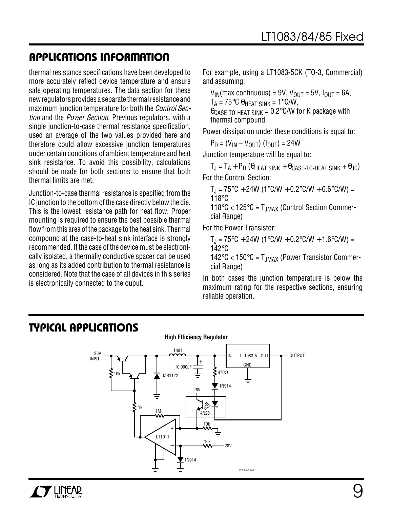### **APPLICATIONS INFORMATION U W U U**

thermal resistance specifications have been developed to more accurately reflect device temperature and ensure safe operating temperatures. The data section for these new regulators provides a separate thermal resistance and maximum junction temperature for both the *Control Sec*tion and the Power Section. Previous regulators, with a single junction-to-case thermal resistance specification, used an average of the two values provided here and therefore could allow excessive junction temperatures under certain conditions of ambient temperature and heat sink resistance. To avoid this possibility, calculations should be made for both sections to ensure that both thermal limits are met.

Junction-to-case thermal resistance is specified from the IC junction to the bottom of the case directly below the die. This is the lowest resistance path for heat flow. Proper mounting is required to ensure the best possible thermal flow from this area of the package to the heat sink. Thermal compound at the case-to-heat sink interface is strongly recommended. If the case of the device must be electronically isolated, a thermally conductive spacer can be used as long as its added contribution to thermal resistance is considered. Note that the case of all devices in this series is electronically connected to the ouput.

For example, using a LT1083-5CK (TO-3, Commercial) and assuming:

 $V_{IN}(max$  continuous) = 9V,  $V_{OUT}$  = 5V,  $I_{OUT}$  = 6A,

 $T_A = 75^{\circ}$ C θ<sub>HEAT SINK</sub> = 1°C/W,

 $\theta$ CASE-TO-HEAT SINK = 0.2°C/W for K package with thermal compound.

Power dissipation under these conditions is equal to:

 $P_D = (V_{IN} - V_{OUT}) (I_{OUT}) = 24W$ 

Junction temperature will be equal to:

 $T_J = T_A + P_D ( \theta_{HEAT \, SINK} + \theta_{CASE-TO-HEAT \, SINK} + \theta_{JC} )$ For the Control Section:

 $T_J = 75$ °C + 24W (1°C/W + 0.2°C/W + 0.6°C/W) = 118°C

118 $\degree$ C < 125 $\degree$ C = T<sub>JMAX</sub> (Control Section Commercial Range)

For the Power Transistor:

 $T_{\rm J}$  = 75°C + 24W (1°C/W + 0.2°C/W + 1.6°C/W) = 142°C

 $142^{\circ}$ C <  $150^{\circ}$ C = T<sub>JMAX</sub> (Power Transistor Commercial Range)

In both cases the junction temperature is below the maximum rating for the respective sections, ensuring reliable operation.

### **TYPICAL APPLICATIONS U**

 $\boldsymbol{I}$ y liitar

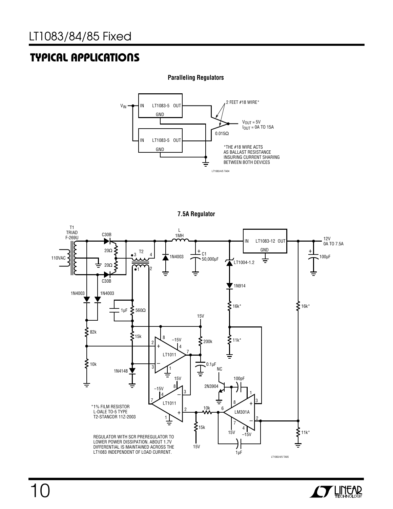## **TYPICAL APPLICATIONS U**

#### **Paralleling Regulators**



**7.5A Regulator**



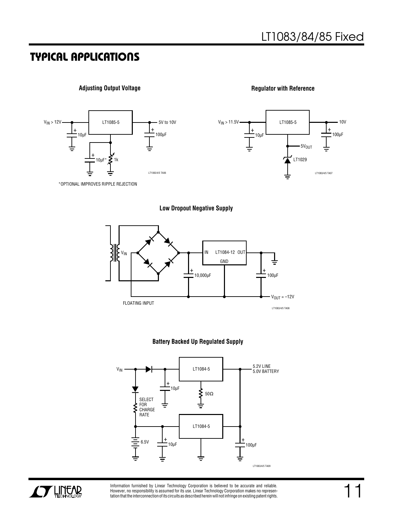#### **TYPICAL APPLICATIONS U**

#### **Adjusting Output Voltage**



+ +

LT1085-5

 $-5V<sub>OUT</sub>$ 

LT1083/4/5 TA07

10V

LT1029

 $_{10\mu}$ F  $\frac{1}{\mu}$  100 $\mu$ F





**Low Dropout Negative Supply**

 $V_{IN}$  > 11.5V

╧



#### **Battery Backed Up Regulated Supply**





Information furnished by Linear Technology Corporation is believed to be accurate and reliable. However, no responsibility is assumed for its use. Linear Technology Corporation makes no represen-tation that the interconnection of its circuits as described herein will not infringe on existing patent rights.